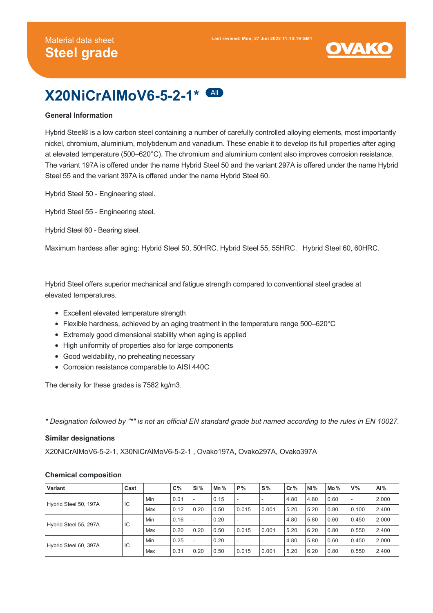

# **X20NiCrAlMoV6-5-2-1\*** All

# **General Information**

Hybrid Steel® is a low carbon steel containing a number of carefully controlled alloying elements, most importantly nickel, chromium, aluminium, molybdenum and vanadium. These enable it to develop its full properties after aging at elevated temperature (500–620°C). The chromium and aluminium content also improves corrosion resistance. The variant 197A is offered under the name Hybrid Steel 50 and the variant 297A is offered under the name Hybrid Steel 55 and the variant 397A is offered under the name Hybrid Steel 60.

Hybrid Steel 50 - Engineering steel.

Hybrid Steel 55 - Engineering steel.

Hybrid Steel 60 - Bearing steel.

Maximum hardess after aging: Hybrid Steel 50, 50HRC. Hybrid Steel 55, 55HRC. Hybrid Steel 60, 60HRC.

Hybrid Steel offers superior mechanical and fatigue strength compared to conventional steel grades at elevated temperatures.

- Excellent elevated temperature strength
- Flexible hardness, achieved by an aging treatment in the temperature range 500–620°C
- Extremely good dimensional stability when aging is applied
- High uniformity of properties also for large components
- Good weldability, no preheating necessary
- Corrosion resistance comparable to AISI 440C

The density for these grades is 7582 kg/m3.

*\* Designation followed by "\*" is not an official EN standard grade but named according to the rules in EN 10027.*

#### **Similar designations**

X20NiCrAlMoV6-5-2-1, X30NiCrAlMoV6-5-2-1 , Ovako197A, Ovako297A, Ovako397A

#### **Chemical composition**

| Variant                     | Cast |     | $C\%$ | Si%  | Mn $%$ | P%    | $S\%$ | Cr%  | Ni%  | Mo%  | $V\%$                    | AI%   |
|-----------------------------|------|-----|-------|------|--------|-------|-------|------|------|------|--------------------------|-------|
| IC<br>Hybrid Steel 50, 197A |      | Min | 0.01  |      | 0.15   | ۰     |       | 4.80 | 4.80 | 0.60 | $\overline{\phantom{a}}$ | 2.000 |
|                             |      | Max | 0.12  | 0.20 | 0.50   | 0.015 | 0.001 | 5.20 | 5.20 | 0.80 | 0.100                    | 2.400 |
| Hybrid Steel 55, 297A<br>IC |      | Min | 0.16  |      | 0.20   | ۰     |       | 4.80 | 5.80 | 0.60 | 0.450                    | 2.000 |
|                             |      | Max | 0.20  | 0.20 | 0.50   | 0.015 | 0.001 | 5.20 | 6.20 | 0.80 | 0.550                    | 2.400 |
| Hybrid Steel 60, 397A       | IC   | Min | 0.25  |      | 0.20   | ٠     |       | 4.80 | 5.80 | 0.60 | 0.450                    | 2.000 |
|                             |      | Max | 0.31  | 0.20 | 0.50   | 0.015 | 0.001 | 5.20 | 6.20 | 0.80 | 0.550                    | 2.400 |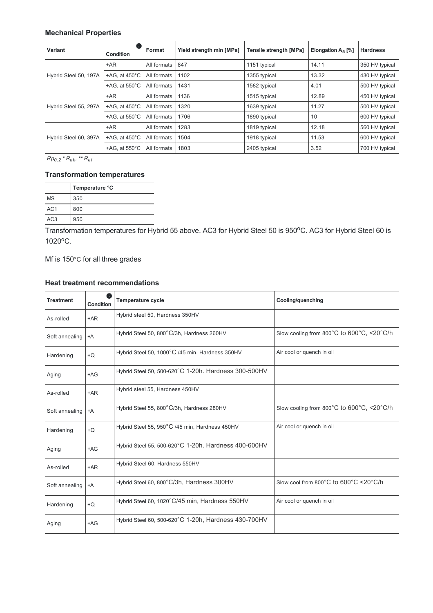# **Mechanical Properties**

| Variant               | O<br><b>Condition</b>   | Format      | Yield strength min [MPa] | <b>Tensile strength [MPa]</b> | Elongation $A_5$ [%] | <b>Hardness</b> |
|-----------------------|-------------------------|-------------|--------------------------|-------------------------------|----------------------|-----------------|
|                       | $+AR$                   | All formats | 847                      | 1151 typical                  | 14.11                | 350 HV typical  |
| Hybrid Steel 50, 197A | +AG, at $450^{\circ}$ C | All formats | 1102                     | 1355 typical                  | 13.32                | 430 HV typical  |
|                       | +AG, at $550^{\circ}$ C | All formats | 1431                     | 1582 typical                  | 4.01                 | 500 HV typical  |
|                       | $+AR$                   | All formats | 1136                     | 1515 typical                  | 12.89                | 450 HV typical  |
| Hybrid Steel 55, 297A | +AG, at $450^{\circ}$ C | All formats | 1320                     | 1639 typical                  | 11.27                | 500 HV typical  |
|                       | +AG, at $550^{\circ}$ C | All formats | 1706                     | 1890 typical                  | 10                   | 600 HV typical  |
| Hybrid Steel 60, 397A | $+AR$                   | All formats | 1283                     | 1819 typical                  | 12.18                | 560 HV typical  |
|                       | +AG, at $450^{\circ}$ C | All formats | 1504                     | 1918 typical                  | 11.53                | 600 HV typical  |
|                       | +AG, at $550^{\circ}$ C | All formats | 1803                     | 2405 typical                  | 3.52                 | 700 HV typical  |

*Rp \* R , \*\* R 0.2 eh el*

# **Transformation temperatures**

|                 | Temperature °C |
|-----------------|----------------|
| <b>MS</b>       | 350            |
| AC <sub>1</sub> | 800            |
| AC <sub>3</sub> | 950            |

Transformation temperatures for Hybrid 55 above. AC3 for Hybrid Steel 50 is 950°C. AC3 for Hybrid Steel 60 is 1020°C.

Mf is 150°C for all three grades

# **Heat treatment recommendations**

| <b>Treatment</b> | Œ<br>Condition | <b>Temperature cycle</b>                             | Cooling/quenching                         |
|------------------|----------------|------------------------------------------------------|-------------------------------------------|
| As-rolled        | $+AR$          | Hybrid steel 50, Hardness 350HV                      |                                           |
| Soft annealing   | $+A$           | Hybrid Steel 50, 800°C/3h, Hardness 260HV            | Slow cooling from 800°C to 600°C, <20°C/h |
| Hardening        | $+Q$           | Hybrid Steel 50, 1000°C /45 min, Hardness 350HV      | Air cool or quench in oil                 |
| Aging            | $+AG$          | Hybrid Steel 50, 500-620°C 1-20h. Hardness 300-500HV |                                           |
| As-rolled        | $+AR$          | Hybrid steel 55, Hardness 450HV                      |                                           |
| Soft annealing   | $+A$           | Hybrid Steel 55, 800°C/3h, Hardness 280HV            | Slow cooling from 800°C to 600°C, <20°C/h |
| Hardening        | $+Q$           | Hybrid Steel 55, 950°C /45 min, Hardness 450HV       | Air cool or quench in oil                 |
| Aging            | $+AG$          | Hybrid Steel 55, 500-620°C 1-20h. Hardness 400-600HV |                                           |
| As-rolled        | $+AR$          | Hybrid Steel 60, Hardness 550HV                      |                                           |
| Soft annealing   | $+A$           | Hybrid Steel 60, 800°C/3h, Hardness 300HV            | Slow cool from 800°C to 600°C <20°C/h     |
| Hardening        | $+Q$           | Hybrid Steel 60, 1020°C/45 min, Hardness 550HV       | Air cool or quench in oil                 |
| Aging            | $+AG$          | Hybrid Steel 60, 500-620°C 1-20h, Hardness 430-700HV |                                           |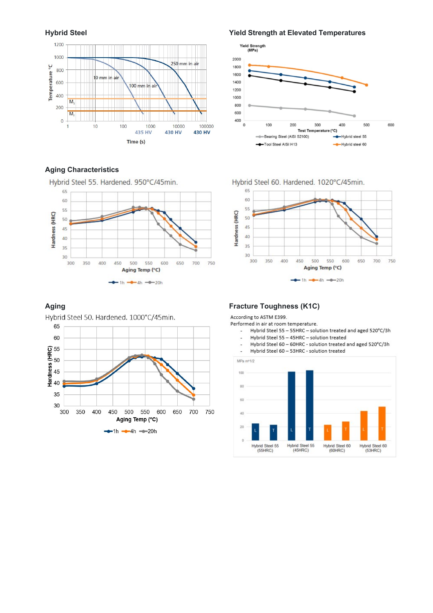

# **Aging Characteristics**

Hybrid Steel 55. Hardened. 950°C/45min.



Hybrid Steel 50. Hardened. 1000°C/45min. 65 60 **Hardness (HRC)**<br> $\frac{45}{45}$ <br> $\frac{45}{45}$ 35 30 300 350 400 450 500 550 600 650 700 750 Aging Temp (°C)  $-1h -4h -20h$ 

**Hybrid Steel Yield Strength at Elevated Temperatures**



Hybrid Steel 60. Hardened. 1020°C/45min.



# **Aging Fracture Toughness (K1C)**

According to ASTM E399.

Performed in air at room temperature.

- Hybrid Steel 55 55HRC solution treated and aged 520°C/3h
- Hybrid Steel 55 45HRC solution treated
- Hybrid Steel 60 60HRC solution treated and aged 520°C/3h  $\overline{a}$
- Hybrid Steel 60 53HRC solution treated l,

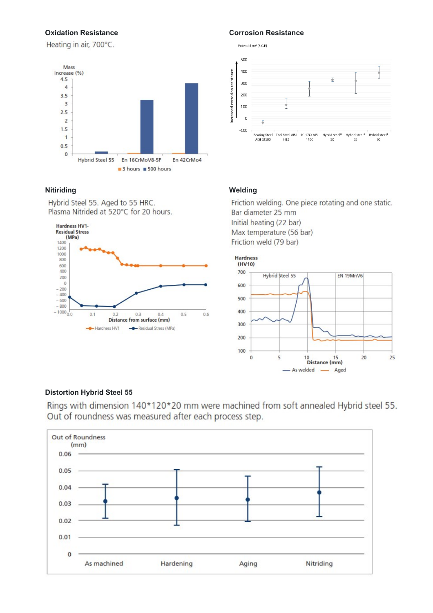Heating in air, 700°C.



# **Nitiriding Welding**

Hybrid Steel 55. Aged to 55 HRC. Plasma Nitrided at 520°C for 20 hours.



# **Oxidation Resistance Corrosion Resistance**



Friction welding. One piece rotating and one static. Bar diameter 25 mm Initial heating (22 bar) Max temperature (56 bar) Friction weld (79 bar)



# **Distortion Hybrid Steel 55**

Rings with dimension 140\*120\*20 mm were machined from soft annealed Hybrid steel 55. Out of roundness was measured after each process step.

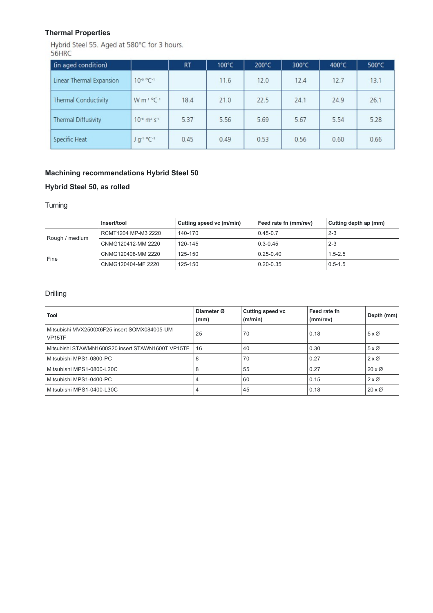# **Thermal Properties**

Hybrid Steel 55. Aged at 580°C for 3 hours.<br>56HRC

| (in aged condition)         |                                          | <b>RT</b> | $100^{\circ}$ C | 200°C | $300^{\circ}$ C | 400°C | $500^{\circ}$ C |
|-----------------------------|------------------------------------------|-----------|-----------------|-------|-----------------|-------|-----------------|
| Linear Thermal Expansion    | $10^{-6}$ °C-1                           |           | 11.6            | 12.0  | 12.4            | 12.7  | 13.1            |
| <b>Thermal Conductivity</b> | $W m^{-1} {}^{\circ}C^{-1}$              | 18.4      | 21.0            | 22.5  | 24.1            | 24.9  | 26.1            |
| <b>Thermal Diffusivity</b>  | $10^{-6}$ m <sup>2</sup> s <sup>-1</sup> | 5.37      | 5.56            | 5.69  | 5.67            | 5.54  | 5.28            |
| Specific Heat               | J g-1 °C-1                               | 0.45      | 0.49            | 0.53  | 0.56            | 0.60  | 0.66            |

# **Machining recommendations Hybrid Steel 50**

# **Hybrid Steel 50, as rolled**

# **Turning**

|                | Insert/tool         | Cutting speed vc (m/min) | Feed rate fn (mm/rev) | Cutting depth ap (mm) |
|----------------|---------------------|--------------------------|-----------------------|-----------------------|
| Rough / medium | RCMT1204 MP-M3 2220 | 140-170                  | $0.45 - 0.7$          | $2 - 3$               |
|                | CNMG120412-MM 2220  | 120-145                  | $0.3 - 0.45$          | $2 - 3$               |
| Fine           | CNMG120408-MM 2220  | 125-150                  | $0.25 - 0.40$         | $1.5 - 2.5$           |
|                | CNMG120404-MF 2220  | 125-150                  | $0.20 - 0.35$         | $0.5 - 1.5$           |

# Drilling

| Tool                                                                | Diameter Ø<br>(mm) | <b>Cutting speed vc</b><br>(m/min) | Feed rate fn<br>(mm/rev) | Depth (mm)            |
|---------------------------------------------------------------------|--------------------|------------------------------------|--------------------------|-----------------------|
| Mitsubishi MVX2500X6F25 insert SOMX084005-UM<br>VP <sub>15</sub> TF | 25                 | 70                                 | 0.18                     | $5 \times \emptyset$  |
| Mitsubishi STAWMN1600S20 insert STAWN1600T VP15TF                   | 16                 | 40                                 | 0.30                     | $5 \times \emptyset$  |
| Mitsubishi MPS1-0800-PC                                             |                    | 70                                 | 0.27                     | $2 \times \emptyset$  |
| Mitsubishi MPS1-0800-L20C                                           | 8                  | 55                                 | 0.27                     | $20 \times \emptyset$ |
| Mitsubishi MPS1-0400-PC                                             |                    | 60                                 | 0.15                     | $2 \times \emptyset$  |
| Mitsubishi MPS1-0400-L30C                                           |                    | 45                                 | 0.18                     | $20 \times \emptyset$ |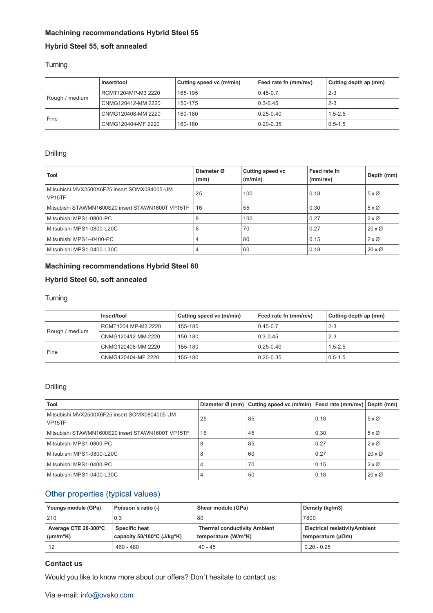# **Machining recommendations Hybrid Steel 55**

# **Hybrid Steel 55, soft annealed**

# Turning

|                | l Insert/tool      | Cutting speed vc (m/min) | Feed rate fn (mm/rev) | Cutting depth ap (mm) |
|----------------|--------------------|--------------------------|-----------------------|-----------------------|
| Rough / medium | RCMT1204MP-M3 2220 | 165-195                  | $0.45 - 0.7$          | $2 - 3$               |
|                | CNMG120412-MM 2220 | 150-175                  | $0.3 - 0.45$          | $2 - 3$               |
| Fine           | CNMG120408-MM 2220 | 160-180                  | $0.25 - 0.40$         | $1.5 - 2.5$           |
|                | CNMG120404-MF 2220 | 160-180                  | 0.20-0.35             | $0.5 - 1.5$           |

# Drilling

| <b>Tool</b>                                                         | Diameter Ø<br>(mm) | <b>Cutting speed vc</b><br>(m/min) | Feed rate fn<br>(mm/rev) | Depth (mm)            |
|---------------------------------------------------------------------|--------------------|------------------------------------|--------------------------|-----------------------|
| Mitsubishi MVX2500X6F25 insert SOMX084005-UM<br>VP <sub>15</sub> TF | 25                 | 100                                | 0.18                     | $5 \times \emptyset$  |
| Mitsubishi STAWMN1600S20 insert STAWN1600T VP15TF                   | 16                 | 55                                 | 0.30                     | $5 \times \emptyset$  |
| Mitsubishi MPS1-0800-PC                                             | 8                  | 100                                | 0.27                     | $2 \times \emptyset$  |
| Mitsubishi MPS1-0800-L20C                                           | 8                  | 70                                 | 0.27                     | $20 \times \emptyset$ |
| Mitsubishi MPS1--0400-PC                                            |                    | 80                                 | 0.15                     | $2 \times \emptyset$  |
| Mitsubishi MPS1-0400-L30C                                           |                    | 60                                 | 0.18                     | $20 \times \emptyset$ |

# **Machining recommendations Hybrid Steel 60**

# **Hybrid Steel 60, soft annealed**

# **Turning**

|                | Insert/tool         | Cutting speed vc (m/min) | Feed rate fn (mm/rev) | Cutting depth ap (mm) |
|----------------|---------------------|--------------------------|-----------------------|-----------------------|
| Rough / medium | RCMT1204 MP-M3 2220 | 155-185                  | $0.45 - 0.7$          | $2 - 3$               |
|                | CNMG120412-MM 2220  | 150-180                  | $0.3 - 0.45$          | $^{\circ}$ 2-3        |
| Fine           | CNMG120408-MM 2220  | 155-180                  | $0.25 - 0.40$         | $1.5 - 2.5$           |
|                | CNMG120404-MF 2220  | 155-180                  | $0.20 - 0.35$         | $0.5 - 1.5$           |

# Drilling

| <b>Tool</b>                                                          |    | Diameter Ø (mm)   Cutting speed vc (m/min)   Feed rate (mm/rev)   Depth (mm) |      |                       |
|----------------------------------------------------------------------|----|------------------------------------------------------------------------------|------|-----------------------|
| Mitsubishi MVX2500X6F25 insert SOMX0804005-UM<br>VP <sub>15</sub> TF | 25 | 85                                                                           | 0.18 | $5 \times \emptyset$  |
| Mitsubishi STAWMN1600S20 insert STAWN1600T VP15TF                    | 16 | 45                                                                           | 0.30 | $5 \times \emptyset$  |
| Mitsubishi MPS1-0800-PC                                              |    | 85                                                                           | 0.27 | $2 \times \emptyset$  |
| Mitsubishi MPS1-0800-L20C                                            |    | 60                                                                           | 0.27 | $20 \times \emptyset$ |
| Mitsubishi MPS1-0400-PC                                              |    | 70                                                                           | 0.15 | $2 \times \emptyset$  |
| Mitsubishi MPS1-0400-L30C                                            |    | 50                                                                           | 0.18 | $20 \times \emptyset$ |

# Other properties (typical values)

| Youngs module (GPa)                          | Poisson's ratio (-)                                                     | Shear module (GPa)                                                      | Density (kg/m3)                                                       |
|----------------------------------------------|-------------------------------------------------------------------------|-------------------------------------------------------------------------|-----------------------------------------------------------------------|
| 210                                          | 0.3                                                                     | 80                                                                      | 7800                                                                  |
| Average CTE 20-300°C<br>$(\mu m/m^{\circ}K)$ | <b>Specific heat</b><br>capacity $50/100^{\circ}$ C (J/kg $^{\circ}$ K) | <b>Thermal conductivity Ambient</b><br>temperature (W/m <sup>o</sup> K) | <b>Electrical resistivity Ambient</b><br>temperature ( $\mu\Omega$ m) |
| 12                                           | $460 - 480$                                                             | $40 - 45$                                                               | $0.20 - 0.25$                                                         |

# **Contact us**

Would you like to know more about our offers? Don´t hesitate to contact us: